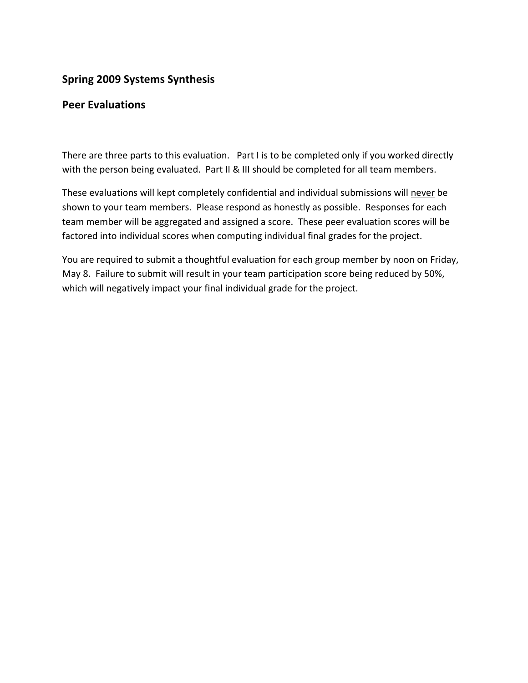# **Spring
2009
Systems
Synthesis**

## **Peer
Evaluations**

There are three parts to this evaluation. Part I is to be completed only if you worked directly with the person being evaluated. Part II & III should be completed for all team members.

These
evaluations
will
kept
completely
confidential
and
individual
submissions
will
never
be shown to your team members. Please respond as honestly as possible. Responses for each team member will be aggregated and assigned a score. These peer evaluation scores will be factored into individual scores when computing individual final grades for the project.

You are required to submit a thoughtful evaluation for each group member by noon on Friday, May 8. Failure to submit will result in your team participation score being reduced by 50%, which will negatively impact your final individual grade for the project.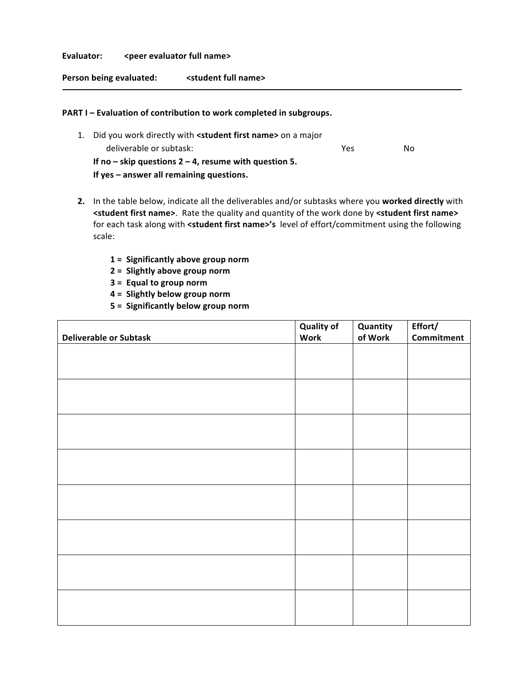#### Evaluator: <peer evaluator full name>

**Person
being
evaluated: <student
full
name>**

#### PART I - Evaluation of contribution to work completed in subgroups.

- 1. Did you work directly with <student first name> on a major deliverable
or
subtask: Yes No **If
no
–
skip
questions
2
–
4,
resume
with
question
5. If
yes
–
answer
all
remaining
questions.**
- 2. In the table below, indicate all the deliverables and/or subtasks where you worked directly with <student first name>. Rate the quality and quantity of the work done by <student first name> for each task along with <student first name>'s level of effort/commitment using the following scale:
	- **1
	= Significantly
	above
	group
	norm**
	- **2
	= Slightly
	above
	group
	norm**
	- **3
	= Equal
	to
	group
	norm**
	- **4
	= Slightly
	below
	group
	norm**
	- **5
	= Significantly
	below
	group
	norm**

|                               | <b>Quality of</b> | Quantity | Effort/    |
|-------------------------------|-------------------|----------|------------|
| <b>Deliverable or Subtask</b> | <b>Work</b>       | of Work  | Commitment |
|                               |                   |          |            |
|                               |                   |          |            |
|                               |                   |          |            |
|                               |                   |          |            |
|                               |                   |          |            |
|                               |                   |          |            |
|                               |                   |          |            |
|                               |                   |          |            |
|                               |                   |          |            |
|                               |                   |          |            |
|                               |                   |          |            |
|                               |                   |          |            |
|                               |                   |          |            |
|                               |                   |          |            |
|                               |                   |          |            |
|                               |                   |          |            |
|                               |                   |          |            |
|                               |                   |          |            |
|                               |                   |          |            |
|                               |                   |          |            |
|                               |                   |          |            |
|                               |                   |          |            |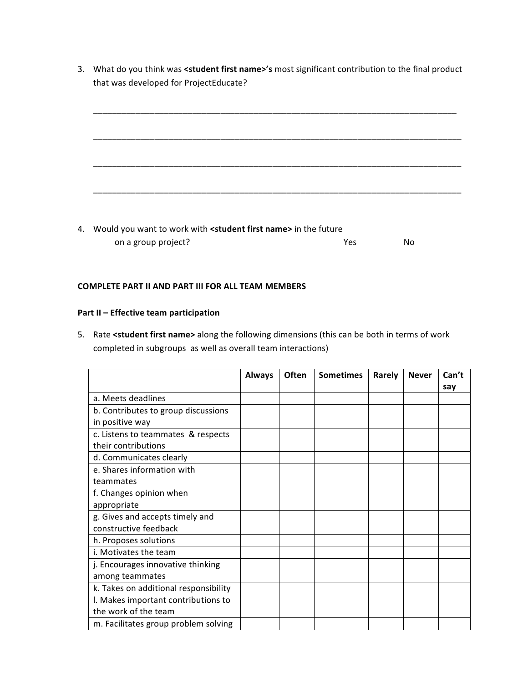3. What do you think was <student first name>'s most significant contribution to the final product that
was
developed
for
ProjectEducate?



4. Would you want to work with <student first name> in the future on a group project? No was not a set of the No was not a set of No was not a set of No was not a set of No was  $\mathsf{N}\mathsf{O}$ 

#### **COMPLETE
PART
II
AND
PART
III
FOR
ALL
TEAM
MEMBERS**

### **Part
II
–
Effective
team
participation**

5. Rate <student first name> along the following dimensions (this can be both in terms of work completed
in
subgroups

as
well
as
overall
team
interactions)

|                                       | <b>Always</b> | Often | <b>Sometimes</b> | Rarely | <b>Never</b> | Can't |
|---------------------------------------|---------------|-------|------------------|--------|--------------|-------|
|                                       |               |       |                  |        |              | say   |
| a. Meets deadlines                    |               |       |                  |        |              |       |
| b. Contributes to group discussions   |               |       |                  |        |              |       |
| in positive way                       |               |       |                  |        |              |       |
| c. Listens to teammates & respects    |               |       |                  |        |              |       |
| their contributions                   |               |       |                  |        |              |       |
| d. Communicates clearly               |               |       |                  |        |              |       |
| e. Shares information with            |               |       |                  |        |              |       |
| teammates                             |               |       |                  |        |              |       |
| f. Changes opinion when               |               |       |                  |        |              |       |
| appropriate                           |               |       |                  |        |              |       |
| g. Gives and accepts timely and       |               |       |                  |        |              |       |
| constructive feedback                 |               |       |                  |        |              |       |
| h. Proposes solutions                 |               |       |                  |        |              |       |
| i. Motivates the team                 |               |       |                  |        |              |       |
| j. Encourages innovative thinking     |               |       |                  |        |              |       |
| among teammates                       |               |       |                  |        |              |       |
| k. Takes on additional responsibility |               |       |                  |        |              |       |
| I. Makes important contributions to   |               |       |                  |        |              |       |
| the work of the team                  |               |       |                  |        |              |       |
| m. Facilitates group problem solving  |               |       |                  |        |              |       |